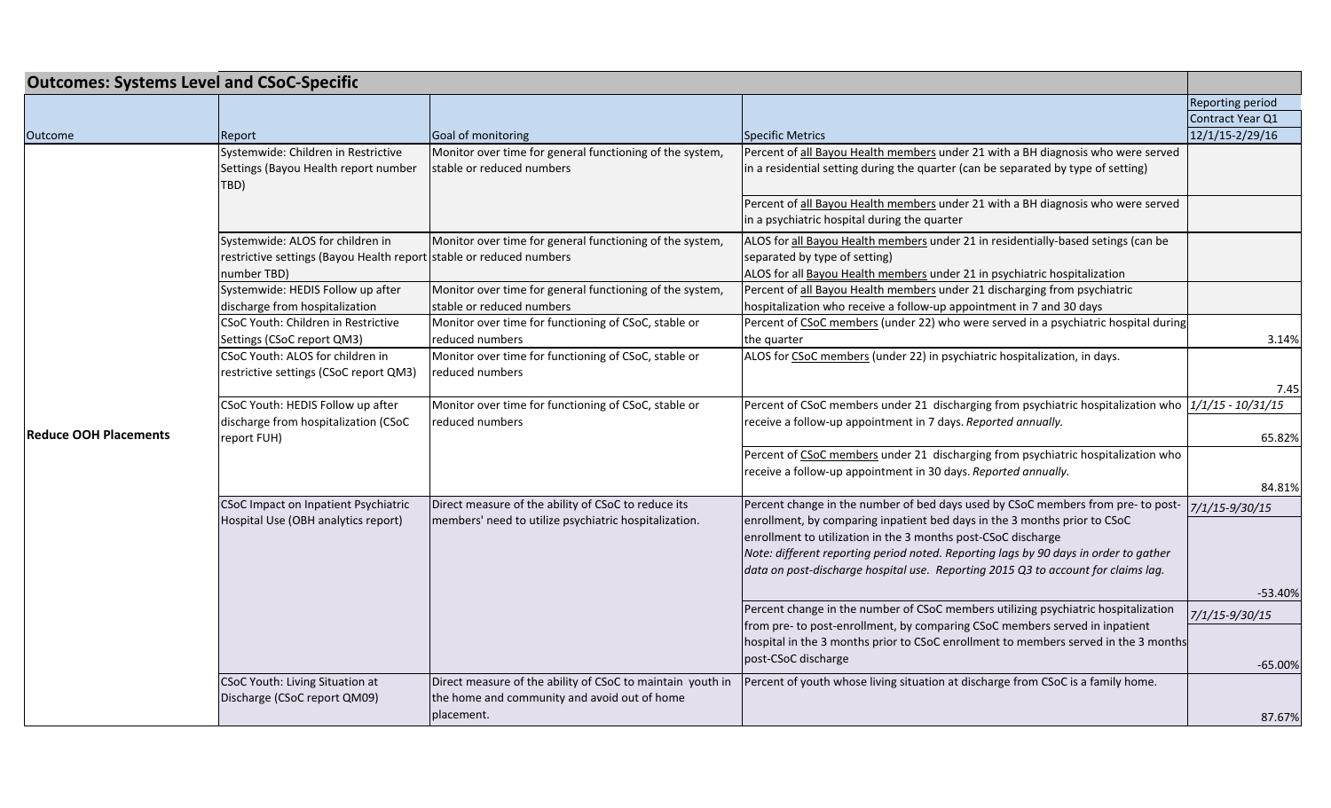| <b>Outcomes: Systems Level and CSoC-Specific</b> |                                                                                                                        |                                                                                                                          |                                                                                                                                                                                                                                                                                                                                                                                                             |                         |
|--------------------------------------------------|------------------------------------------------------------------------------------------------------------------------|--------------------------------------------------------------------------------------------------------------------------|-------------------------------------------------------------------------------------------------------------------------------------------------------------------------------------------------------------------------------------------------------------------------------------------------------------------------------------------------------------------------------------------------------------|-------------------------|
|                                                  |                                                                                                                        |                                                                                                                          |                                                                                                                                                                                                                                                                                                                                                                                                             | <b>Reporting period</b> |
|                                                  |                                                                                                                        |                                                                                                                          |                                                                                                                                                                                                                                                                                                                                                                                                             | Contract Year Q1        |
| <b>Outcome</b>                                   | Report                                                                                                                 | Goal of monitoring                                                                                                       | Specific Metrics                                                                                                                                                                                                                                                                                                                                                                                            | 12/1/15-2/29/16         |
| <b>Reduce OOH Placements</b>                     | Systemwide: Children in Restrictive<br>Settings (Bayou Health report number<br>TBD)                                    | Monitor over time for general functioning of the system,<br>stable or reduced numbers                                    | Percent of all Bayou Health members under 21 with a BH diagnosis who were served<br>in a residential setting during the quarter (can be separated by type of setting)                                                                                                                                                                                                                                       |                         |
|                                                  |                                                                                                                        |                                                                                                                          | Percent of all Bayou Health members under 21 with a BH diagnosis who were served<br>in a psychiatric hospital during the quarter                                                                                                                                                                                                                                                                            |                         |
|                                                  | Systemwide: ALOS for children in<br>restrictive settings (Bayou Health report stable or reduced numbers<br>number TBD) | Monitor over time for general functioning of the system,                                                                 | ALOS for all Bayou Health members under 21 in residentially-based setings (can be<br>separated by type of setting)<br>ALOS for all Bayou Health members under 21 in psychiatric hospitalization                                                                                                                                                                                                             |                         |
|                                                  | Systemwide: HEDIS Follow up after<br>discharge from hospitalization                                                    | Monitor over time for general functioning of the system,<br>stable or reduced numbers                                    | Percent of all Bayou Health members under 21 discharging from psychiatric<br>hospitalization who receive a follow-up appointment in 7 and 30 days                                                                                                                                                                                                                                                           |                         |
|                                                  | CSoC Youth: Children in Restrictive<br>Settings (CSoC report QM3)                                                      | Monitor over time for functioning of CSoC, stable or<br>reduced numbers                                                  | Percent of CSoC members (under 22) who were served in a psychiatric hospital during<br>the quarter                                                                                                                                                                                                                                                                                                          | 3.14%                   |
|                                                  | CSoC Youth: ALOS for children in<br>restrictive settings (CSoC report QM3)                                             | Monitor over time for functioning of CSoC, stable or<br>reduced numbers                                                  | ALOS for CSoC members (under 22) in psychiatric hospitalization, in days.                                                                                                                                                                                                                                                                                                                                   | 7.45                    |
|                                                  | CSoC Youth: HEDIS Follow up after                                                                                      | Monitor over time for functioning of CSoC, stable or                                                                     | Percent of CSoC members under 21 discharging from psychiatric hospitalization who 1/1/15 - 10/31/15                                                                                                                                                                                                                                                                                                         |                         |
|                                                  | discharge from hospitalization (CSoC<br>report FUH)                                                                    | reduced numbers                                                                                                          | receive a follow-up appointment in 7 days. Reported annually.                                                                                                                                                                                                                                                                                                                                               | 65.82%                  |
|                                                  |                                                                                                                        |                                                                                                                          | Percent of CSoC members under 21 discharging from psychiatric hospitalization who<br>receive a follow-up appointment in 30 days. Reported annually.                                                                                                                                                                                                                                                         | 84.81%                  |
|                                                  | CSoC Impact on Inpatient Psychiatric<br>Hospital Use (OBH analytics report)                                            | Direct measure of the ability of CSoC to reduce its<br>members' need to utilize psychiatric hospitalization.             | Percent change in the number of bed days used by CSoC members from pre- to post-<br>enrollment, by comparing inpatient bed days in the 3 months prior to CSoC<br>enrollment to utilization in the 3 months post-CSoC discharge<br>Note: different reporting period noted. Reporting lags by 90 days in order to gather<br>data on post-discharge hospital use. Reporting 2015 Q3 to account for claims lag. | 7/1/15-9/30/15          |
|                                                  |                                                                                                                        |                                                                                                                          |                                                                                                                                                                                                                                                                                                                                                                                                             | $-53.40%$               |
|                                                  |                                                                                                                        |                                                                                                                          | Percent change in the number of CSoC members utilizing psychiatric hospitalization<br>from pre- to post-enrollment, by comparing CSoC members served in inpatient                                                                                                                                                                                                                                           | 7/1/15-9/30/15          |
|                                                  |                                                                                                                        |                                                                                                                          | hospital in the 3 months prior to CSoC enrollment to members served in the 3 months<br>post-CSoC discharge                                                                                                                                                                                                                                                                                                  |                         |
|                                                  |                                                                                                                        |                                                                                                                          |                                                                                                                                                                                                                                                                                                                                                                                                             | $-65.00%$               |
|                                                  | CSoC Youth: Living Situation at<br>Discharge (CSoC report QM09)                                                        | Direct measure of the ability of CSoC to maintain youth in<br>the home and community and avoid out of home<br>placement. | Percent of youth whose living situation at discharge from CSoC is a family home.                                                                                                                                                                                                                                                                                                                            | 87.67%                  |